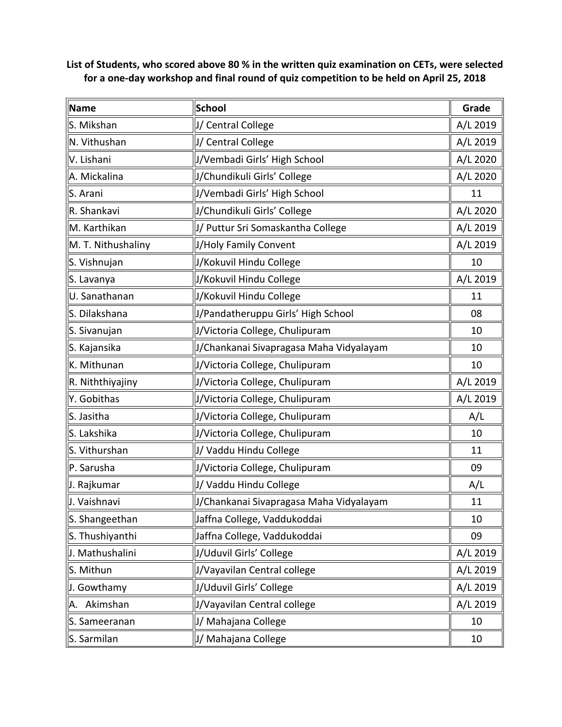**List of Students, who scored above 80 % in the written quiz examination on CETs, were selected for a one-day workshop and final round of quiz competition to be held on April 25, 2018**

| <b>Name</b>        | <b>School</b>                           | Grade    |
|--------------------|-----------------------------------------|----------|
| S. Mikshan         | J/ Central College                      | A/L 2019 |
| N. Vithushan       | J/ Central College                      | A/L 2019 |
| V. Lishani         | J/Vembadi Girls' High School            | A/L 2020 |
| A. Mickalina       | J/Chundikuli Girls' College             | A/L 2020 |
| S. Arani           | J/Vembadi Girls' High School            | 11       |
| R. Shankavi        | J/Chundikuli Girls' College             | A/L 2020 |
| M. Karthikan       | J/ Puttur Sri Somaskantha College       | A/L 2019 |
| M. T. Nithushaliny | J/Holy Family Convent                   | A/L 2019 |
| S. Vishnujan       | J/Kokuvil Hindu College                 | 10       |
| S. Lavanya         | J/Kokuvil Hindu College                 | A/L 2019 |
| U. Sanathanan      | J/Kokuvil Hindu College                 | 11       |
| S. Dilakshana      | J/Pandatheruppu Girls' High School      | 08       |
| S. Sivanujan       | J/Victoria College, Chulipuram          | 10       |
| S. Kajansika       | J/Chankanai Sivapragasa Maha Vidyalayam | 10       |
| K. Mithunan        | J/Victoria College, Chulipuram          | 10       |
| R. Niththiyajiny   | J/Victoria College, Chulipuram          | A/L 2019 |
| Y. Gobithas        | J/Victoria College, Chulipuram          | A/L 2019 |
| S. Jasitha         | J/Victoria College, Chulipuram          | A/L      |
| S. Lakshika        | J/Victoria College, Chulipuram          | 10       |
| S. Vithurshan      | J/ Vaddu Hindu College                  | 11       |
| P. Sarusha         | J/Victoria College, Chulipuram          | 09       |
| J. Rajkumar        | J/ Vaddu Hindu College                  | A/L      |
| J. Vaishnavi       | J/Chankanai Sivapragasa Maha Vidyalayam | 11       |
| S. Shangeethan     | Jaffna College, Vaddukoddai             | 10       |
| S. Thushiyanthi    | Jaffna College, Vaddukoddai             | 09       |
| J. Mathushalini    | J/Uduvil Girls' College                 | A/L 2019 |
| S. Mithun          | J/Vayavilan Central college             | A/L 2019 |
| J. Gowthamy        | J/Uduvil Girls' College                 | A/L 2019 |
| A. Akimshan        | J/Vayavilan Central college             | A/L 2019 |
| S. Sameeranan      | J/ Mahajana College                     | 10       |
| S. Sarmilan        | J/ Mahajana College                     | 10       |